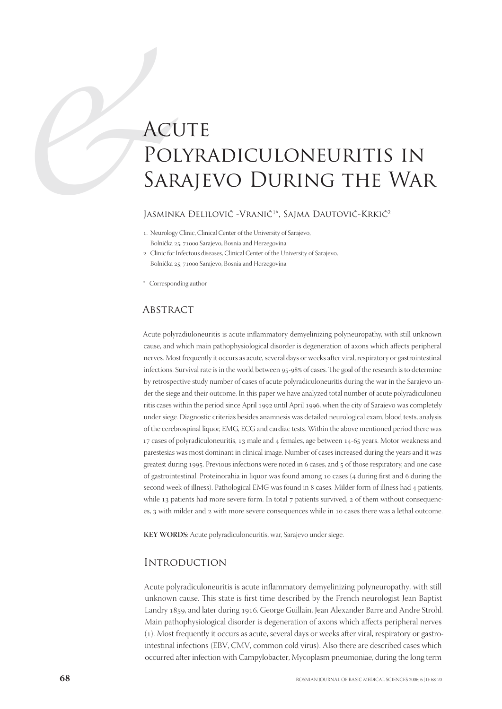# ACUTE<br>POLYRA<br>SARAJE<br>JASMINKA DELILC<br>LASMINKA DELILC<br>Bohićka 25, 71000 Saraje Polyradiculoneuritis in Sarajevo During the War

Iasminka Đelilović -Vranić<sup>1\*</sup>, Sajma Dautović-Krkić<sup>2</sup>

- . Neurology Clinic, Clinical Center of the University of Sarajevo, Bolnička 25, 71000 Sarajevo, Bosnia and Herzegovina
- . Clinic for Infectous diseases, Clinical Center of the University of Sarajevo, Bolnička 25, 71000 Sarajevo, Bosnia and Herzegovina
- \* Corresponding author

## **ABSTRACT**

Acute polyradiuloneuritis is acute inflammatory demyelinizing polyneuropathy, with still unknown cause, and which main pathophysiological disorder is degeneration of axons which affects peripheral nerves. Most frequently it occurs as acute, several days or weeks after viral, respiratory or gastrointestinal infections. Survival rate is in the world between 95-98% of cases. The goal of the research is to determine by retrospective study number of cases of acute polyradiculoneuritis during the war in the Sarajevo under the siege and their outcome. In this paper we have analyzed total number of acute polyradiculoneuritis cases within the period since April 1992 until April 1996, when the city of Sarajevo was completely under siege. Diagnostic criteria's besides anamnesis was detailed neurological exam, blood tests, analysis of the cerebrospinal liquor, EMG, ECG and cardiac tests. Within the above mentioned period there was 17 cases of polyradiculoneuritis, 13 male and 4 females, age between 14-65 years. Motor weakness and parestesias was most dominant in clinical image. Number of cases increased during the years and it was greatest during 1995. Previous infections were noted in 6 cases, and  $5$  of those respiratory, and one case of gastrointestinal. Proteinorahia in liquor was found among 10 cases (4 during first and 6 during the second week of illness). Pathological EMG was found in 8 cases. Milder form of illness had 4 patients, while 13 patients had more severe form. In total  $7$  patients survived,  $2$  of them without consequences, 3 with milder and 2 with more severe consequences while in 10 cases there was a lethal outcome.

**KEY WORDS**: Acute polyradiculoneuritis, war, Sarajevo under siege.

#### **INTRODUCTION**

Acute polyradiculoneuritis is acute inflammatory demyelinizing polyneuropathy, with still unknown cause. This state is first time described by the French neurologist Jean Baptist Landry 1859, and later during 1916. George Guillain, Jean Alexander Barre and Andre Strohl. Main pathophysiological disorder is degeneration of axons which affects peripheral nerves (). Most frequently it occurs as acute, several days or weeks after viral, respiratory or gastrointestinal infections (EBV, CMV, common cold virus). Also there are described cases which occurred after infection with Campylobacter, Mycoplasm pneumoniae, during the long term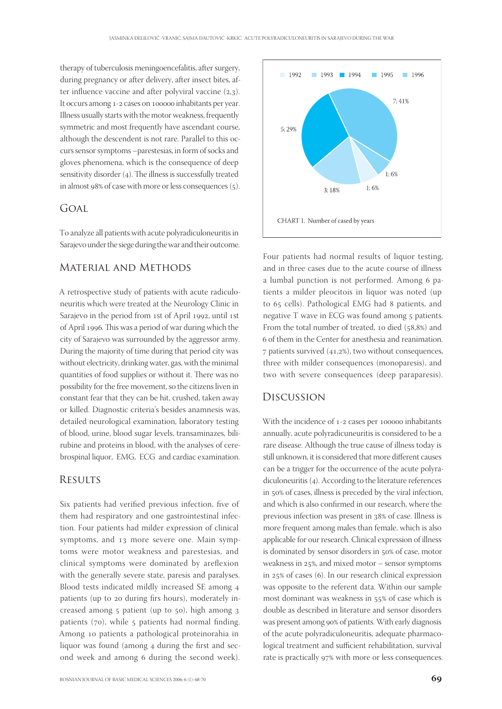therapy of tuberculosis meningoencefalitis, after surgery, during pregnancy or after delivery, after insect bites, after influence vaccine and after polyviral vaccine  $(2,3)$ . It occurs among 1-2 cases on 100000 inhabitants per year. Illness usually starts with the motor weakness, frequently symmetric and most frequently have ascendant course, although the descendent is not rare. Parallel to this occurs sensor symptoms –parestesias, in form of socks and gloves phenomena, which is the consequence of deep sensitivity disorder  $(4)$ . The illness is successfully treated in almost  $98\%$  of case with more or less consequences  $(5)$ .

# GOAL

To analyze all patients with acute polyradiculoneuritis in Sarajevo under the siege during the war and their outcome.

#### Material and Methods

A retrospective study of patients with acute radiculoneuritis which were treated at the Neurology Clinic in Sarajevo in the period from 1st of April 1992, until 1st of April 1996. This was a period of war during which the city of Sarajevo was surrounded by the aggressor army. During the majority of time during that period city was without electricity, drinking water, gas, with the minimal quantities of food supplies or without it. There was no possibility for the free movement, so the citizens liven in constant fear that they can be hit, crushed, taken away or killed. Diagnostic criteria's besides anamnesis was, detailed neurological examination, laboratory testing of blood, urine, blood sugar levels, transaminazes, bilirubine and proteins in blood, with the analyses of cerebrospinal liquor, EMG, ECG and cardiac examination.

#### **RESULTS**

Six patients had verified previous infection, five of them had respiratory and one gastrointestinal infection. Four patients had milder expression of clinical symptoms, and 13 more severe one. Main symptoms were motor weakness and parestesias, and clinical symptoms were dominated by areflexion with the generally severe state, paresis and paralyses. Blood tests indicated mildly increased SE among patients (up to 20 during firs hours), moderately increased among 5 patient (up to 50), high among 3 patients  $(70)$ , while 5 patients had normal finding. Among 10 patients a pathological proteinorahia in liquor was found (among 4 during the first and second week and among 6 during the second week).



Four patients had normal results of liquor testing, and in three cases due to the acute course of illness a lumbal punction is not performed. Among 6 patients a milder pleocitois in liquor was noted (up to 65 cells). Pathological EMG had 8 patients, and negative T wave in ECG was found among 5 patients. From the total number of treated, 10 died  $(58,8%)$  and of them in the Center for anesthesia and reanimation.  $\sigma$  patients survived (41,2%), two without consequences, three with milder consequences (monoparesis), and two with severe consequences (deep paraparesis).

#### Discussion

With the incidence of 1-2 cases per 100000 inhabitants annually, acute polyradicuneuritis is considered to be a rare disease. Although the true cause of illness today is still unknown, it is considered that more different causes can be a trigger for the occurrence of the acute polyradiculoneuritis  $(4)$ . According to the literature references in 50% of cases, illness is preceded by the viral infection, and which is also confirmed in our research, where the previous infection was present in 38% of case. Illness is more frequent among males than female, which is also applicable for our research. Clinical expression of illness is dominated by sensor disorders in 50% of case, motor weakness in  $25%$ , and mixed motor – sensor symptoms in  $25\%$  of cases (6). In our research clinical expression was opposite to the referent data. Within our sample most dominant was weakness in  $55\%$  of case which is double as described in literature and sensor disorders was present among 90% of patients. With early diagnosis of the acute polyradiculoneuritis, adequate pharmacological treatment and sufficient rehabilitation, survival rate is practically 97% with more or less consequences.